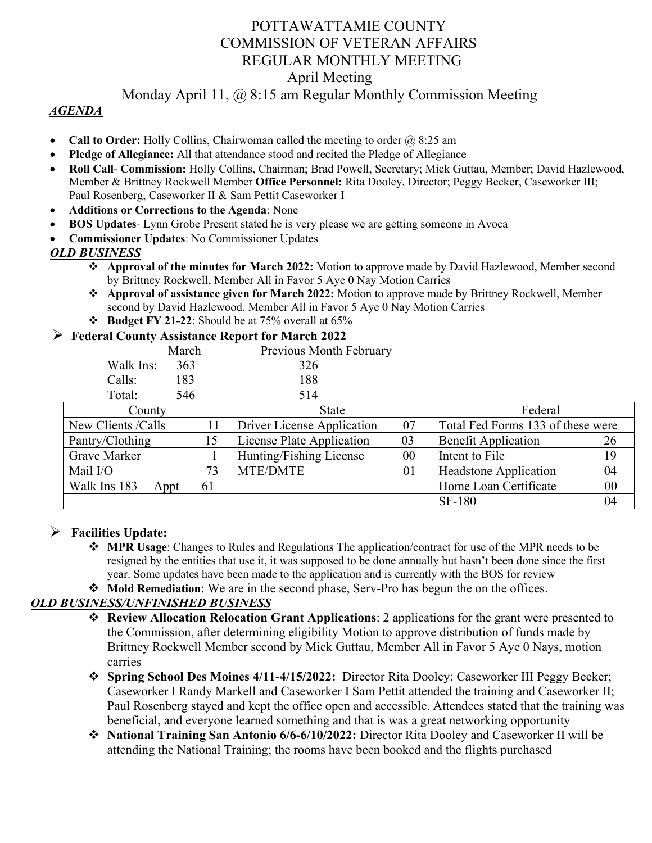# POTTAWATTAMIE COUNTY COMMISSION OF VETERAN AFFAIRS REGULAR MONTHLY MEETING April Meeting

## Monday April 11, @ 8:15 am Regular Monthly Commission Meeting

### *AGENDA*

- **Call to Order:** Holly Collins, Chairwoman called the meeting to order @ 8:25 am
- **Pledge of Allegiance:** All that attendance stood and recited the Pledge of Allegiance
- **Roll Call Commission:** Holly Collins, Chairman; Brad Powell, Secretary; Mick Guttau, Member; David Hazlewood, Member & Brittney Rockwell Member **Office Personnel:** Rita Dooley, Director; Peggy Becker, Caseworker III; Paul Rosenberg, Caseworker II & Sam Pettit Caseworker I
- **Additions or Corrections to the Agenda**: None
- **BOS Updates** Lynn Grobe Present stated he is very please we are getting someone in Avoca
- **Commissioner Updates**: No Commissioner Updates

### *OLD BUSINESS*

- **Approval of the minutes for March 2022:** Motion to approve made by David Hazlewood, Member second by Brittney Rockwell, Member All in Favor 5 Aye 0 Nay Motion Carries
- **Approval of assistance given for March 2022:** Motion to approve made by Brittney Rockwell, Member second by David Hazlewood, Member All in Favor 5 Aye 0 Nay Motion Carries
- **Budget FY 21-22**: Should be at 75% overall at 65%

#### **Federal County Assistance Report for March 2022**

|                     | March      | Previous Month February    |    |                                   |        |
|---------------------|------------|----------------------------|----|-----------------------------------|--------|
| Walk Ins:           | 363        | 326                        |    |                                   |        |
| Calls:              | 183        | 188                        |    |                                   |        |
| Total:              | 546        | 514                        |    |                                   |        |
| County              |            | State                      |    | Federal                           |        |
| New Clients / Calls | 11         | Driver License Application | 07 | Total Fed Forms 133 of these were |        |
| Pantry/Clothing     | 15         | License Plate Application  | 03 | <b>Benefit Application</b>        | 26     |
| Grave Marker        |            | Hunting/Fishing License    | 00 | Intent to File                    | 19     |
| Mail I/O            | 73         | MTE/DMTE                   | 01 | <b>Headstone Application</b>      | 04     |
| Walk Ins 183        | 61<br>Appt |                            |    | Home Loan Certificate             | $00\,$ |
|                     |            |                            |    | <b>SF-180</b>                     | 04     |

### **Facilities Update:**

- **MPR Usage**: Changes to Rules and Regulations The application/contract for use of the MPR needs to be resigned by the entities that use it, it was supposed to be done annually but hasn't been done since the first year. Some updates have been made to the application and is currently with the BOS for review
- **Mold Remediation**: We are in the second phase, Serv-Pro has begun the on the offices.

### *OLD BUSINESS/UNFINISHED BUSINESS*

- **Review Allocation Relocation Grant Applications**: 2 applications for the grant were presented to the Commission, after determining eligibility Motion to approve distribution of funds made by Brittney Rockwell Member second by Mick Guttau, Member All in Favor 5 Aye 0 Nays, motion carries
- **Spring School Des Moines 4/11-4/15/2022:** Director Rita Dooley; Caseworker III Peggy Becker; Caseworker I Randy Markell and Caseworker I Sam Pettit attended the training and Caseworker II; Paul Rosenberg stayed and kept the office open and accessible. Attendees stated that the training was beneficial, and everyone learned something and that is was a great networking opportunity
- **National Training San Antonio 6/6-6/10/2022:** Director Rita Dooley and Caseworker II will be attending the National Training; the rooms have been booked and the flights purchased